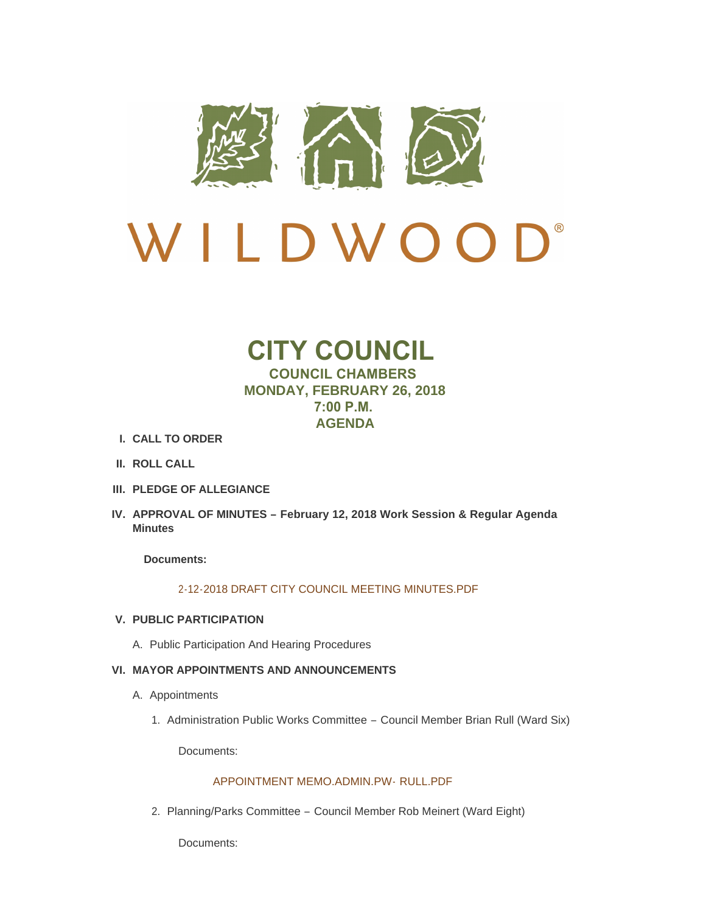

# $\mathbf{D}^*$ LDWO  $\sqrt{ }$  $\overline{\mathcal{L}}$

# **CITY COUNCIL COUNCIL CHAMBERS MONDAY, FEBRUARY 26, 2018 7:00 P.M. AGENDA**

- **CALL TO ORDER I.**
- **ROLL CALL II.**
- **PLEDGE OF ALLEGIANCE III.**
- **APPROVAL OF MINUTES – February 12, 2018 Work Session & Regular Agenda IV. Minutes**

**Documents:**

# [2-12-2018 DRAFT CITY COUNCIL MEETING MINUTES.PDF](http://www.cityofwildwood.com/AgendaCenter/ViewFile/Item/14298?fileID=19944)

# **PUBLIC PARTICIPATION V.**

A. Public Participation And Hearing Procedures

# **MAYOR APPOINTMENTS AND ANNOUNCEMENTS VI.**

- A. Appointments
	- 1. Administration Public Works Committee Council Member Brian Rull (Ward Six)

Documents:

# [APPOINTMENT MEMO.ADMIN.PW-](http://www.cityofwildwood.com/AgendaCenter/ViewFile/Item/14248?fileID=19978) RULL.PDF

2. Planning/Parks Committee - Council Member Rob Meinert (Ward Eight)

Documents: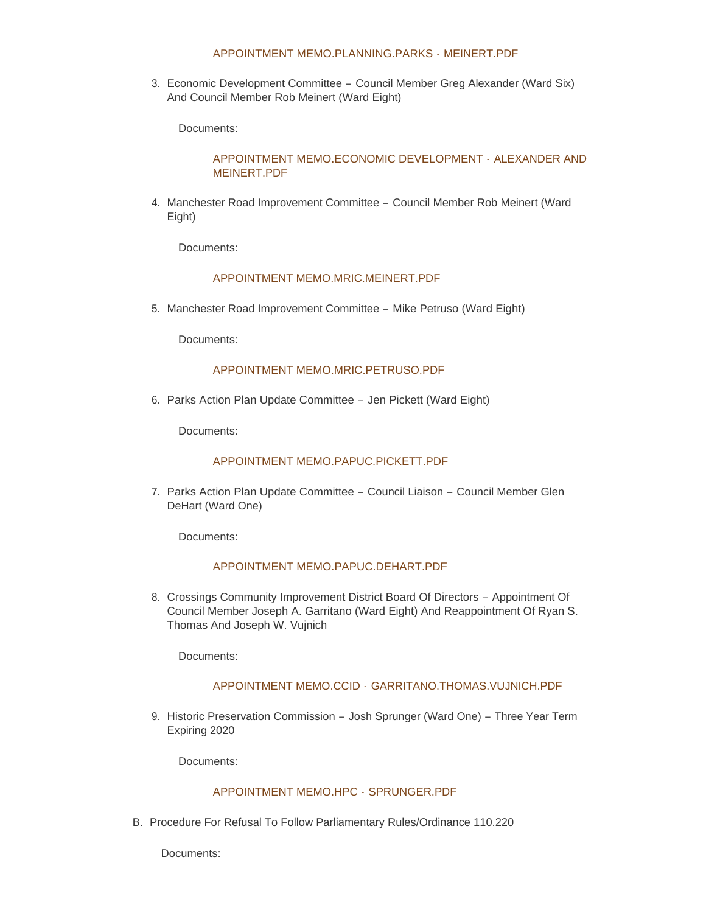# [APPOINTMENT MEMO.PLANNING.PARKS -](http://www.cityofwildwood.com/AgendaCenter/ViewFile/Item/14249?fileID=19986) MEINERT.PDF

3. Economic Development Committee - Council Member Greg Alexander (Ward Six) And Council Member Rob Meinert (Ward Eight)

Documents:

# [APPOINTMENT MEMO.ECONOMIC DEVELOPMENT -](http://www.cityofwildwood.com/AgendaCenter/ViewFile/Item/14250?fileID=19980) ALEXANDER AND MEINERT.PDF

4. Manchester Road Improvement Committee - Council Member Rob Meinert (Ward Eight)

Documents:

# [APPOINTMENT MEMO.MRIC.MEINERT.PDF](http://www.cityofwildwood.com/AgendaCenter/ViewFile/Item/14251?fileID=19982)

5. Manchester Road Improvement Committee - Mike Petruso (Ward Eight)

Documents:

# [APPOINTMENT MEMO.MRIC.PETRUSO.PDF](http://www.cityofwildwood.com/AgendaCenter/ViewFile/Item/14252?fileID=19983)

6. Parks Action Plan Update Committee - Jen Pickett (Ward Eight)

Documents:

# [APPOINTMENT MEMO.PAPUC.PICKETT.PDF](http://www.cityofwildwood.com/AgendaCenter/ViewFile/Item/14253?fileID=19985)

7. Parks Action Plan Update Committee - Council Liaison - Council Member Glen DeHart (Ward One)

Documents:

# [APPOINTMENT MEMO.PAPUC.DEHART.PDF](http://www.cityofwildwood.com/AgendaCenter/ViewFile/Item/14254?fileID=19984)

8. Crossings Community Improvement District Board Of Directors - Appointment Of Council Member Joseph A. Garritano (Ward Eight) And Reappointment Of Ryan S. Thomas And Joseph W. Vujnich

Documents:

# APPOINTMENT MEMO.CCID - [GARRITANO.THOMAS.VUJNICH.PDF](http://www.cityofwildwood.com/AgendaCenter/ViewFile/Item/14255?fileID=19979)

9. Historic Preservation Commission - Josh Sprunger (Ward One) - Three Year Term Expiring 2020

Documents:

#### [APPOINTMENT MEMO.HPC -](http://www.cityofwildwood.com/AgendaCenter/ViewFile/Item/14256?fileID=19981) SPRUNGER.PDF

B. Procedure For Refusal To Follow Parliamentary Rules/Ordinance 110.220

Documents: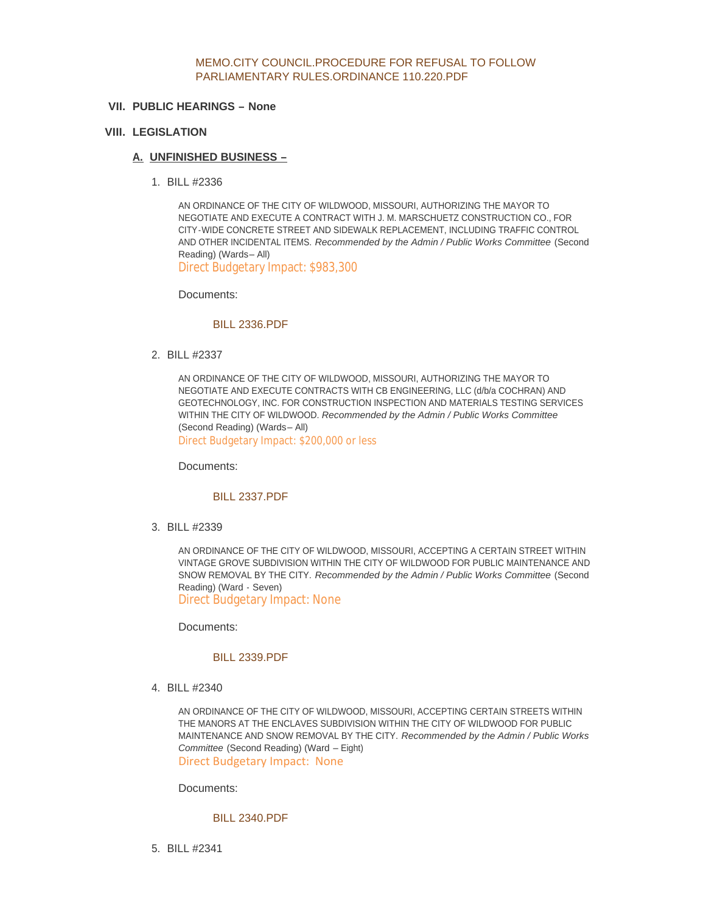## [MEMO.CITY COUNCIL.PROCEDURE FOR REFUSAL TO FOLLOW](http://www.cityofwildwood.com/AgendaCenter/ViewFile/Item/14354?fileID=20018)  PARLIAMENTARY RULES.ORDINANCE 110.220.PDF

# **PUBLIC HEARINGS – None VII.**

# **LEGISLATION VIII.**

# **UNFINISHED BUSINESS – A.**

BILL #2336 1.

AN ORDINANCE OF THE CITY OF WILDWOOD, MISSOURI, AUTHORIZING THE MAYOR TO NEGOTIATE AND EXECUTE A CONTRACT WITH J. M. MARSCHUETZ CONSTRUCTION CO., FOR CITY-WIDE CONCRETE STREET AND SIDEWALK REPLACEMENT, INCLUDING TRAFFIC CONTROL AND OTHER INCIDENTAL ITEMS. *Recommended by the Admin / Public Works Committee* (Second Reading) (Wards– All) Direct Budgetary Impact: \$983,300

Documents:

# [BILL 2336.PDF](http://www.cityofwildwood.com/AgendaCenter/ViewFile/Item/14260?fileID=19923)

BILL #2337 2.

AN ORDINANCE OF THE CITY OF WILDWOOD, MISSOURI, AUTHORIZING THE MAYOR TO NEGOTIATE AND EXECUTE CONTRACTS WITH CB ENGINEERING, LLC (d/b/a COCHRAN) AND GEOTECHNOLOGY, INC. FOR CONSTRUCTION INSPECTION AND MATERIALS TESTING SERVICES WITHIN THE CITY OF WILDWOOD. *Recommended by the Admin / Public Works Committee*  (Second Reading) (Wards– All) Direct Budgetary Impact: \$200,000 or less

Documents:

#### [BILL 2337.PDF](http://www.cityofwildwood.com/AgendaCenter/ViewFile/Item/14261?fileID=19924)

BILL #2339 3.

AN ORDINANCE OF THE CITY OF WILDWOOD, MISSOURI, ACCEPTING A CERTAIN STREET WITHIN VINTAGE GROVE SUBDIVISION WITHIN THE CITY OF WILDWOOD FOR PUBLIC MAINTENANCE AND SNOW REMOVAL BY THE CITY. *Recommended by the Admin / Public Works Committee* (Second Reading) (Ward - Seven)

Direct Budgetary Impact: None

Documents:

#### [BILL 2339.PDF](http://www.cityofwildwood.com/AgendaCenter/ViewFile/Item/14262?fileID=19925)

BILL #2340 4.

AN ORDINANCE OF THE CITY OF WILDWOOD, MISSOURI, ACCEPTING CERTAIN STREETS WITHIN THE MANORS AT THE ENCLAVES SUBDIVISION WITHIN THE CITY OF WILDWOOD FOR PUBLIC MAINTENANCE AND SNOW REMOVAL BY THE CITY. *Recommended by the Admin / Public Works Committee* (Second Reading) (Ward – Eight) Direct Budgetary Impact: None

Documents:

## [BILL 2340.PDF](http://www.cityofwildwood.com/AgendaCenter/ViewFile/Item/14263?fileID=19926)

BILL #2341 5.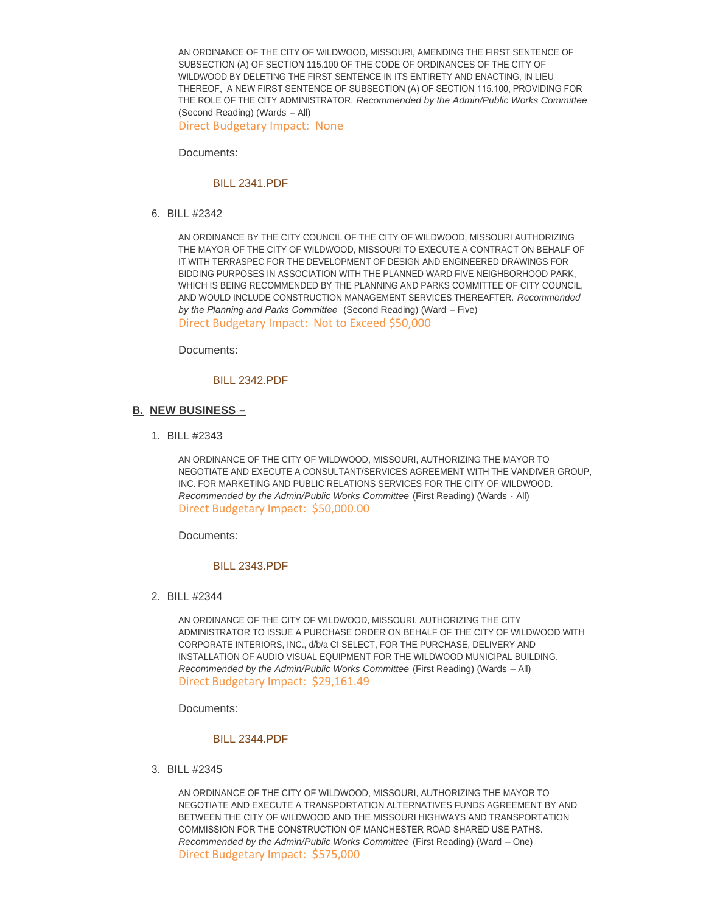AN ORDINANCE OF THE CITY OF WILDWOOD, MISSOURI, AMENDING THE FIRST SENTENCE OF SUBSECTION (A) OF SECTION 115.100 OF THE CODE OF ORDINANCES OF THE CITY OF WILDWOOD BY DELETING THE FIRST SENTENCE IN ITS ENTIRETY AND ENACTING, IN LIEU THEREOF, A NEW FIRST SENTENCE OF SUBSECTION (A) OF SECTION 115.100, PROVIDING FOR THE ROLE OF THE CITY ADMINISTRATOR. *Recommended by the Admin/Public Works Committee*  (Second Reading) (Wards – All)

Direct Budgetary Impact: None

Documents:

#### [BILL 2341.PDF](http://www.cityofwildwood.com/AgendaCenter/ViewFile/Item/14264?fileID=19927)

BILL #2342 6.

AN ORDINANCE BY THE CITY COUNCIL OF THE CITY OF WILDWOOD, MISSOURI AUTHORIZING THE MAYOR OF THE CITY OF WILDWOOD, MISSOURI TO EXECUTE A CONTRACT ON BEHALF OF IT WITH TERRASPEC FOR THE DEVELOPMENT OF DESIGN AND ENGINEERED DRAWINGS FOR BIDDING PURPOSES IN ASSOCIATION WITH THE PLANNED WARD FIVE NEIGHBORHOOD PARK, WHICH IS BEING RECOMMENDED BY THE PLANNING AND PARKS COMMITTEE OF CITY COUNCIL, AND WOULD INCLUDE CONSTRUCTION MANAGEMENT SERVICES THEREAFTER. *Recommended by the Planning and Parks Committee* (Second Reading) (Ward – Five) Direct Budgetary Impact: Not to Exceed \$50,000

Documents:

# [BILL 2342.PDF](http://www.cityofwildwood.com/AgendaCenter/ViewFile/Item/14265?fileID=19928)

## **NEW BUSINESS – B.**

BILL #2343 1.

AN ORDINANCE OF THE CITY OF WILDWOOD, MISSOURI, AUTHORIZING THE MAYOR TO NEGOTIATE AND EXECUTE A CONSULTANT/SERVICES AGREEMENT WITH THE VANDIVER GROUP, INC. FOR MARKETING AND PUBLIC RELATIONS SERVICES FOR THE CITY OF WILDWOOD. *Recommended by the Admin/Public Works Committee* (First Reading) (Wards - All) Direct Budgetary Impact: \$50,000.00

Documents:

#### [BILL 2343.PDF](http://www.cityofwildwood.com/AgendaCenter/ViewFile/Item/14267?fileID=19948)

BILL #2344 2.

AN ORDINANCE OF THE CITY OF WILDWOOD, MISSOURI, AUTHORIZING THE CITY ADMINISTRATOR TO ISSUE A PURCHASE ORDER ON BEHALF OF THE CITY OF WILDWOOD WITH CORPORATE INTERIORS, INC., d/b/a CI SELECT, FOR THE PURCHASE, DELIVERY AND INSTALLATION OF AUDIO VISUAL EQUIPMENT FOR THE WILDWOOD MUNICIPAL BUILDING. *Recommended by the Admin/Public Works Committee* (First Reading) (Wards – All) Direct Budgetary Impact: \$29,161.49

Documents:

#### [BILL 2344.PDF](http://www.cityofwildwood.com/AgendaCenter/ViewFile/Item/14268?fileID=19949)

BILL #2345 3.

AN ORDINANCE OF THE CITY OF WILDWOOD, MISSOURI, AUTHORIZING THE MAYOR TO NEGOTIATE AND EXECUTE A TRANSPORTATION ALTERNATIVES FUNDS AGREEMENT BY AND BETWEEN THE CITY OF WILDWOOD AND THE MISSOURI HIGHWAYS AND TRANSPORTATION COMMISSION FOR THE CONSTRUCTION OF MANCHESTER ROAD SHARED USE PATHS. *Recommended by the Admin/Public Works Committee* (First Reading) (Ward – One) Direct Budgetary Impact: \$575,000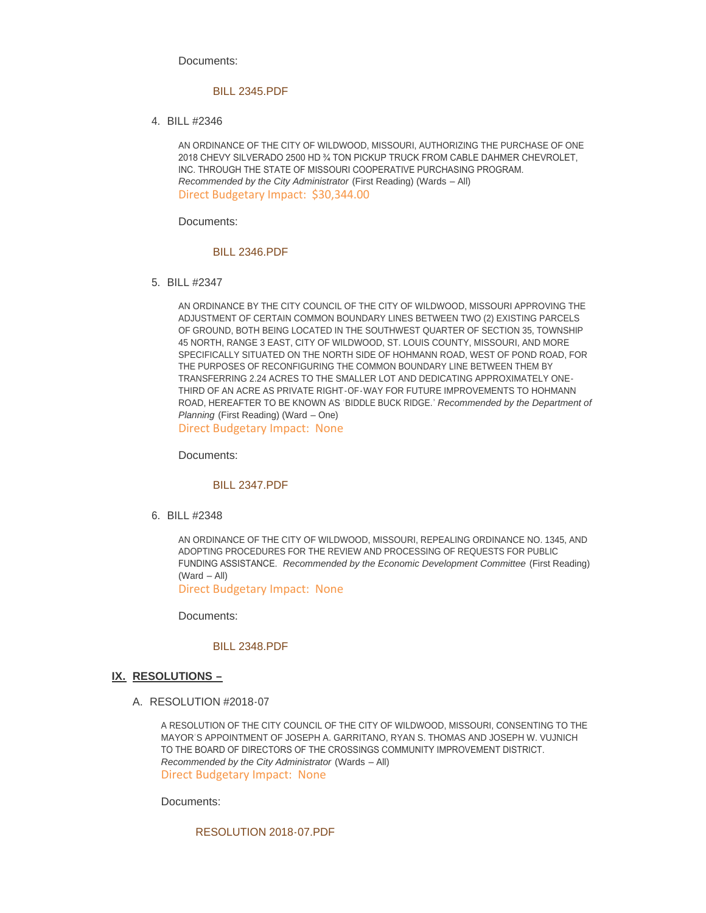Documents:

#### [BILL 2345.PDF](http://www.cityofwildwood.com/AgendaCenter/ViewFile/Item/14269?fileID=19931)

BILL #2346 4.

AN ORDINANCE OF THE CITY OF WILDWOOD, MISSOURI, AUTHORIZING THE PURCHASE OF ONE 2018 CHEVY SILVERADO 2500 HD ¾ TON PICKUP TRUCK FROM CABLE DAHMER CHEVROLET, INC. THROUGH THE STATE OF MISSOURI COOPERATIVE PURCHASING PROGRAM. *Recommended by the City Administrator* (First Reading) (Wards – All) Direct Budgetary Impact: \$30,344.00

Documents:

#### [BILL 2346.PDF](http://www.cityofwildwood.com/AgendaCenter/ViewFile/Item/14270?fileID=19932)

BILL #2347 5.

AN ORDINANCE BY THE CITY COUNCIL OF THE CITY OF WILDWOOD, MISSOURI APPROVING THE ADJUSTMENT OF CERTAIN COMMON BOUNDARY LINES BETWEEN TWO (2) EXISTING PARCELS OF GROUND, BOTH BEING LOCATED IN THE SOUTHWEST QUARTER OF SECTION 35, TOWNSHIP 45 NORTH, RANGE 3 EAST, CITY OF WILDWOOD, ST. LOUIS COUNTY, MISSOURI, AND MORE SPECIFICALLY SITUATED ON THE NORTH SIDE OF HOHMANN ROAD, WEST OF POND ROAD, FOR THE PURPOSES OF RECONFIGURING THE COMMON BOUNDARY LINE BETWEEN THEM BY TRANSFERRING 2.24 ACRES TO THE SMALLER LOT AND DEDICATING APPROXIMATELY ONE-THIRD OF AN ACRE AS PRIVATE RIGHT-OF-WAY FOR FUTURE IMPROVEMENTS TO HOHMANN ROAD, HEREAFTER TO BE KNOWN AS 'BIDDLE BUCK RIDGE.' *Recommended by the Department of Planning* (First Reading) (Ward – One)

Direct Budgetary Impact: None

Documents:

#### [BILL 2347.PDF](http://www.cityofwildwood.com/AgendaCenter/ViewFile/Item/14271?fileID=19955)

BILL #2348 6.

AN ORDINANCE OF THE CITY OF WILDWOOD, MISSOURI, REPEALING ORDINANCE NO. 1345, AND ADOPTING PROCEDURES FOR THE REVIEW AND PROCESSING OF REQUESTS FOR PUBLIC FUNDING ASSISTANCE. *Recommended by the Economic Development Committee* (First Reading) (Ward – All)

Direct Budgetary Impact: None

Documents:

# [BILL 2348.PDF](http://www.cityofwildwood.com/AgendaCenter/ViewFile/Item/14272?fileID=19934)

## **RESOLUTIONS – IX.**

A. RESOLUTION #2018-07

A RESOLUTION OF THE CITY COUNCIL OF THE CITY OF WILDWOOD, MISSOURI, CONSENTING TO THE MAYOR'S APPOINTMENT OF JOSEPH A. GARRITANO, RYAN S. THOMAS AND JOSEPH W. VUJNICH TO THE BOARD OF DIRECTORS OF THE CROSSINGS COMMUNITY IMPROVEMENT DISTRICT. *Recommended by the City Administrator* (Wards – All) Direct Budgetary Impact: None

Documents:

[RESOLUTION 2018-07.PDF](http://www.cityofwildwood.com/AgendaCenter/ViewFile/Item/14274?fileID=19935)